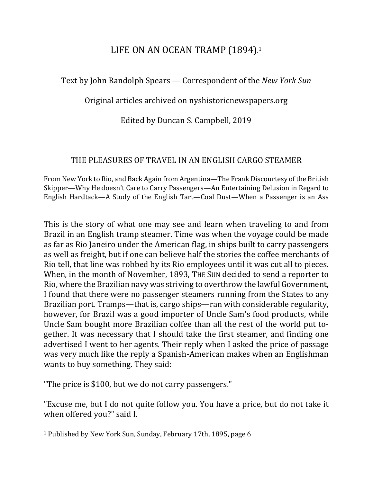## LIFE ON AN OCEAN TRAMP (1894).<sup>1</sup>

Text by John Randolph Spears — Correspondent of the *New York Sun* 

Original articles archived on nyshistoricnewspapers.org

Edited by Duncan S. Campbell, 2019

## THE PLEASURES OF TRAVEL IN AN ENGLISH CARGO STEAMER

From New York to Rio, and Back Again from Argentina—The Frank Discourtesy of the British Skipper—Why He doesn't Care to Carry Passengers—An Entertaining Delusion in Regard to English Hardtack—A Study of the English Tart—Coal Dust—When a Passenger is an Ass

This is the story of what one may see and learn when traveling to and from Brazil in an English tramp steamer. Time was when the voyage could be made as far as Rio Janeiro under the American flag, in ships built to carry passengers as well as freight, but if one can believe half the stories the coffee merchants of Rio tell, that line was robbed by its Rio employees until it was cut all to pieces. When, in the month of November, 1893, THE SUN decided to send a reporter to Rio, where the Brazilian navy was striving to overthrow the lawful Government, I found that there were no passenger steamers running from the States to any Brazilian port. Tramps—that is, cargo ships—ran with considerable regularity, however, for Brazil was a good importer of Uncle Sam's food products, while Uncle Sam bought more Brazilian coffee than all the rest of the world put together. It was necessary that I should take the first steamer, and finding one advertised I went to her agents. Their reply when I asked the price of passage was very much like the reply a Spanish-American makes when an Englishman wants to buy something. They said:

"The price is \$100, but we do not carry passengers."

 $\overline{a}$ 

"Excuse me, but I do not quite follow you. You have a price, but do not take it when offered you?" said I.

<sup>&</sup>lt;sup>1</sup> Published by New York Sun, Sunday, February 17th, 1895, page 6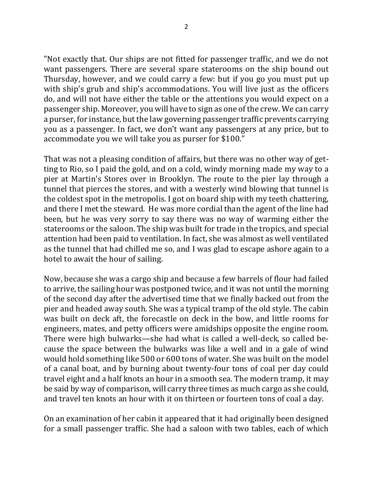"Not exactly that. Our ships are not fitted for passenger traffic, and we do not want passengers. There are several spare staterooms on the ship bound out Thursday, however, and we could carry a few: but if you go you must put up with ship's grub and ship's accommodations. You will live just as the officers do, and will not have either the table or the attentions you would expect on a passenger ship. Moreover, you will have to sign as one of the crew. We can carry a purser, for instance, but the law governing passenger traffic prevents carrying you as a passenger. In fact, we don't want any passengers at any price, but to accommodate you we will take you as purser for \$100."

That was not a pleasing condition of affairs, but there was no other way of getting to Rio, so I paid the gold, and on a cold, windy morning made my way to a pier at Martin's Stores over in Brooklyn. The route to the pier lay through a tunnel that pierces the stores, and with a westerly wind blowing that tunnel is the coldest spot in the metropolis. I got on board ship with my teeth chattering, and there I met the steward. He was more cordial than the agent of the line had been, but he was very sorry to say there was no way of warming either the staterooms or the saloon. The ship was built for trade in the tropics, and special attention had been paid to ventilation. In fact, she was almost as well ventilated as the tunnel that had chilled me so, and I was glad to escape ashore again to a hotel to await the hour of sailing.

Now, because she was a cargo ship and because a few barrels of flour had failed to arrive, the sailing hour was postponed twice, and it was not until the morning of the second day after the advertised time that we finally backed out from the pier and headed away south. She was a typical tramp of the old style. The cabin was built on deck aft, the forecastle on deck in the bow, and little rooms for engineers, mates, and petty officers were amidships opposite the engine room. There were high bulwarks—she had what is called a well-deck, so called because the space between the bulwarks was like a well and in a gale of wind would hold something like 500 or 600 tons of water. She was built on the model of a canal boat, and by burning about twenty-four tons of coal per day could travel eight and a half knots an hour in a smooth sea. The modern tramp, it may be said by way of comparison, will carry three times as much cargo as she could, and travel ten knots an hour with it on thirteen or fourteen tons of coal a day.

On an examination of her cabin it appeared that it had originally been designed for a small passenger traffic. She had a saloon with two tables, each of which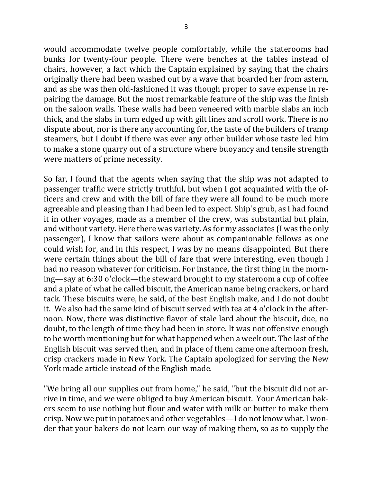would accommodate twelve people comfortably, while the staterooms had bunks for twenty-four people. There were benches at the tables instead of chairs, however, a fact which the Captain explained by saying that the chairs originally there had been washed out by a wave that boarded her from astern, and as she was then old-fashioned it was though proper to save expense in repairing the damage. But the most remarkable feature of the ship was the finish on the saloon walls. These walls had been veneered with marble slabs an inch thick, and the slabs in turn edged up with gilt lines and scroll work. There is no dispute about, nor is there any accounting for, the taste of the builders of tramp steamers, but I doubt if there was ever any other builder whose taste led him to make a stone quarry out of a structure where buoyancy and tensile strength were matters of prime necessity.

So far, I found that the agents when saying that the ship was not adapted to passenger traffic were strictly truthful, but when I got acquainted with the officers and crew and with the bill of fare they were all found to be much more agreeable and pleasing than I had been led to expect. Ship's grub, as I had found it in other voyages, made as a member of the crew, was substantial but plain, and without variety. Here there was variety. As for my associates (I was the only passenger), I know that sailors were about as companionable fellows as one could wish for, and in this respect, I was by no means disappointed. But there were certain things about the bill of fare that were interesting, even though I had no reason whatever for criticism. For instance, the first thing in the morning—say at 6:30 o'clock—the steward brought to my stateroom a cup of coffee and a plate of what he called biscuit, the American name being crackers, or hard tack. These biscuits were, he said, of the best English make, and I do not doubt it. We also had the same kind of biscuit served with tea at 4 o'clock in the afternoon. Now, there was distinctive flavor of stale lard about the biscuit, due, no doubt, to the length of time they had been in store. It was not offensive enough to be worth mentioning but for what happened when a week out. The last of the English biscuit was served then, and in place of them came one afternoon fresh, crisp crackers made in New York. The Captain apologized for serving the New York made article instead of the English made.

"We bring all our supplies out from home," he said, "but the biscuit did not arrive in time, and we were obliged to buy American biscuit. Your American bakers seem to use nothing but flour and water with milk or butter to make them crisp. Now we put in potatoes and other vegetables—I do not know what. I wonder that your bakers do not learn our way of making them, so as to supply the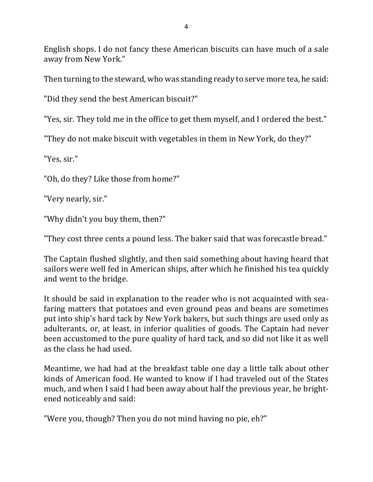English shops. I do not fancy these American biscuits can have much of a sale away from New York."

Then turning to the steward, who was standing ready to serve more tea, he said:

"Did they send the best American biscuit?"

"Yes, sir. They told me in the office to get them myself, and I ordered the best."

"They do not make biscuit with vegetables in them in New York, do they?"

"Yes, sir."

"Oh, do they? Like those from home?"

"Very nearly, sir."

"Why didn't you buy them, then?"

"They cost three cents a pound less. The baker said that was forecastle bread."

The Captain flushed slightly, and then said something about having heard that sailors were well fed in American ships, after which he finished his tea quickly and went to the bridge.

It should be said in explanation to the reader who is not acquainted with seafaring matters that potatoes and even ground peas and beans are sometimes put into ship's hard tack by New York bakers, but such things are used only as adulterants, or, at least, in inferior qualities of goods. The Captain had never been accustomed to the pure quality of hard tack, and so did not like it as well as the class he had used.

Meantime, we had had at the breakfast table one day a little talk about other kinds of American food. He wanted to know if I had traveled out of the States much, and when I said I had been away about half the previous year, he brightened noticeably and said:

"Were you, though? Then you do not mind having no pie, eh?"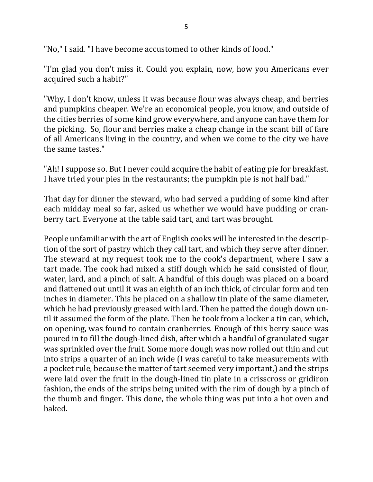"No," I said. "I have become accustomed to other kinds of food."

"I'm glad you don't miss it. Could you explain, now, how you Americans ever acquired such a habit?"

"Why, I don't know, unless it was because flour was always cheap, and berries and pumpkins cheaper. We're an economical people, you know, and outside of the cities berries of some kind grow everywhere, and anyone can have them for the picking. So, flour and berries make a cheap change in the scant bill of fare of all Americans living in the country, and when we come to the city we have the same tastes."

"Ah! I suppose so. But I never could acquire the habit of eating pie for breakfast. I have tried your pies in the restaurants; the pumpkin pie is not half bad."

That day for dinner the steward, who had served a pudding of some kind after each midday meal so far, asked us whether we would have pudding or cranberry tart. Everyone at the table said tart, and tart was brought.

People unfamiliar with the art of English cooks will be interested in the description of the sort of pastry which they call tart, and which they serve after dinner. The steward at my request took me to the cook's department, where I saw a tart made. The cook had mixed a stiff dough which he said consisted of flour, water, lard, and a pinch of salt. A handful of this dough was placed on a board and flattened out until it was an eighth of an inch thick, of circular form and ten inches in diameter. This he placed on a shallow tin plate of the same diameter, which he had previously greased with lard. Then he patted the dough down until it assumed the form of the plate. Then he took from a locker a tin can, which, on opening, was found to contain cranberries. Enough of this berry sauce was poured in to fill the dough-lined dish, after which a handful of granulated sugar was sprinkled over the fruit. Some more dough was now rolled out thin and cut into strips a quarter of an inch wide (I was careful to take measurements with a pocket rule, because the matter of tart seemed very important,) and the strips were laid over the fruit in the dough-lined tin plate in a crisscross or gridiron fashion, the ends of the strips being united with the rim of dough by a pinch of the thumb and finger. This done, the whole thing was put into a hot oven and baked.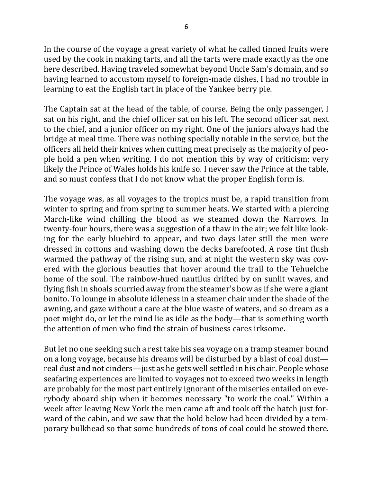In the course of the voyage a great variety of what he called tinned fruits were used by the cook in making tarts, and all the tarts were made exactly as the one here described. Having traveled somewhat beyond Uncle Sam's domain, and so having learned to accustom myself to foreign-made dishes, I had no trouble in learning to eat the English tart in place of the Yankee berry pie.

The Captain sat at the head of the table, of course. Being the only passenger, I sat on his right, and the chief officer sat on his left. The second officer sat next to the chief, and a junior officer on my right. One of the juniors always had the bridge at meal time. There was nothing specially notable in the service, but the officers all held their knives when cutting meat precisely as the majority of people hold a pen when writing. I do not mention this by way of criticism; very likely the Prince of Wales holds his knife so. I never saw the Prince at the table, and so must confess that I do not know what the proper English form is.

The voyage was, as all voyages to the tropics must be, a rapid transition from winter to spring and from spring to summer heats. We started with a piercing March-like wind chilling the blood as we steamed down the Narrows. In twenty-four hours, there was a suggestion of a thaw in the air; we felt like looking for the early bluebird to appear, and two days later still the men were dressed in cottons and washing down the decks barefooted. A rose tint flush warmed the pathway of the rising sun, and at night the western sky was covered with the glorious beauties that hover around the trail to the Tehuelche home of the soul. The rainbow-hued nautilus drifted by on sunlit waves, and flying fish in shoals scurried away from the steamer's bow as if she were a giant bonito. To lounge in absolute idleness in a steamer chair under the shade of the awning, and gaze without a care at the blue waste of waters, and so dream as a poet might do, or let the mind lie as idle as the body—that is something worth the attention of men who find the strain of business cares irksome.

But let no one seeking such a rest take his sea voyage on a tramp steamer bound on a long voyage, because his dreams will be disturbed by a blast of coal dust real dust and not cinders—just as he gets well settled in his chair. People whose seafaring experiences are limited to voyages not to exceed two weeks in length are probably for the most part entirely ignorant of the miseries entailed on everybody aboard ship when it becomes necessary "to work the coal." Within a week after leaving New York the men came aft and took off the hatch just forward of the cabin, and we saw that the hold below had been divided by a temporary bulkhead so that some hundreds of tons of coal could be stowed there.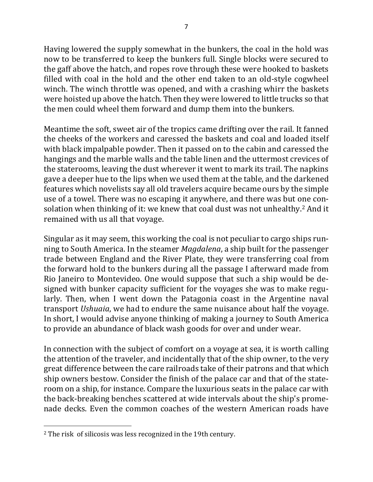Having lowered the supply somewhat in the bunkers, the coal in the hold was now to be transferred to keep the bunkers full. Single blocks were secured to the gaff above the hatch, and ropes rove through these were hooked to baskets filled with coal in the hold and the other end taken to an old-style cogwheel winch. The winch throttle was opened, and with a crashing whirr the baskets were hoisted up above the hatch. Then they were lowered to little trucks so that the men could wheel them forward and dump them into the bunkers.

Meantime the soft, sweet air of the tropics came drifting over the rail. It fanned the cheeks of the workers and caressed the baskets and coal and loaded itself with black impalpable powder. Then it passed on to the cabin and caressed the hangings and the marble walls and the table linen and the uttermost crevices of the staterooms, leaving the dust wherever it went to mark its trail. The napkins gave a deeper hue to the lips when we used them at the table, and the darkened features which novelists say all old travelers acquire became ours by the simple use of a towel. There was no escaping it anywhere, and there was but one consolation when thinking of it: we knew that coal dust was not unhealthy.<sup>2</sup> And it remained with us all that voyage.

Singular as it may seem, this working the coal is not peculiar to cargo ships running to South America. In the steamer *Magdalena*, a ship built for the passenger trade between England and the River Plate, they were transferring coal from the forward hold to the bunkers during all the passage I afterward made from Rio Janeiro to Montevideo. One would suppose that such a ship would be designed with bunker capacity sufficient for the voyages she was to make regularly. Then, when I went down the Patagonia coast in the Argentine naval transport *Ushuaia*, we had to endure the same nuisance about half the voyage. In short, I would advise anyone thinking of making a journey to South America to provide an abundance of black wash goods for over and under wear.

In connection with the subject of comfort on a voyage at sea, it is worth calling the attention of the traveler, and incidentally that of the ship owner, to the very great difference between the care railroads take of their patrons and that which ship owners bestow. Consider the finish of the palace car and that of the stateroom on a ship, for instance. Compare the luxurious seats in the palace car with the back-breaking benches scattered at wide intervals about the ship's promenade decks. Even the common coaches of the western American roads have

 $\overline{a}$ 

 $2$  The risk of silicosis was less recognized in the 19th century.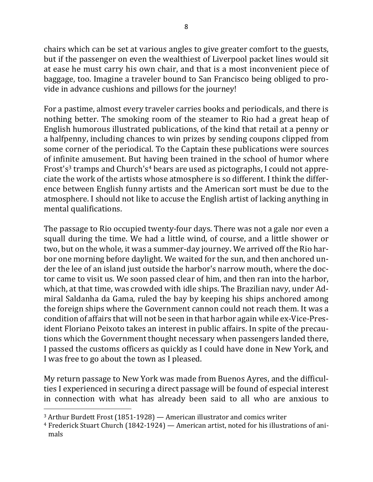chairs which can be set at various angles to give greater comfort to the guests, but if the passenger on even the wealthiest of Liverpool packet lines would sit at ease he must carry his own chair, and that is a most inconvenient piece of baggage, too. Imagine a traveler bound to San Francisco being obliged to provide in advance cushions and pillows for the journey!

For a pastime, almost every traveler carries books and periodicals, and there is nothing better. The smoking room of the steamer to Rio had a great heap of English humorous illustrated publications, of the kind that retail at a penny or a halfpenny, including chances to win prizes by sending coupons clipped from some corner of the periodical. To the Captain these publications were sources of infinite amusement. But having been trained in the school of humor where Frost's<sup>3</sup> tramps and Church's<sup>4</sup> bears are used as pictographs, I could not appreciate the work of the artists whose atmosphere is so different. I think the difference between English funny artists and the American sort must be due to the atmosphere. I should not like to accuse the English artist of lacking anything in mental qualifications.

The passage to Rio occupied twenty-four days. There was not a gale nor even a squall during the time. We had a little wind, of course, and a little shower or two, but on the whole, it was a summer-day journey. We arrived off the Rio harbor one morning before daylight. We waited for the sun, and then anchored under the lee of an island just outside the harbor's narrow mouth, where the doctor came to visit us. We soon passed clear of him, and then ran into the harbor, which, at that time, was crowded with idle ships. The Brazilian navy, under Admiral Saldanha da Gama, ruled the bay by keeping his ships anchored among the foreign ships where the Government cannon could not reach them. It was a condition of affairs that will not be seen in that harbor again while ex-Vice-President Floriano Peixoto takes an interest in public affairs. In spite of the precautions which the Government thought necessary when passengers landed there, I passed the customs officers as quickly as I could have done in New York, and I was free to go about the town as I pleased.

My return passage to New York was made from Buenos Ayres, and the difficulties I experienced in securing a direct passage will be found of especial interest in connection with what has already been said to all who are anxious to

 $\overline{a}$ 

 $3$  Arthur Burdett Frost (1851-1928) — American illustrator and comics writer

<sup>&</sup>lt;sup>4</sup> Frederick Stuart Church (1842-1924) — American artist, noted for his illustrations of animals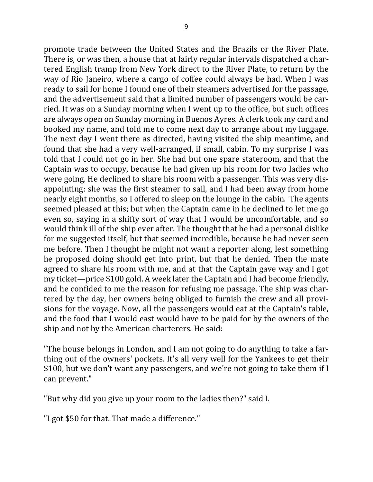promote trade between the United States and the Brazils or the River Plate. There is, or was then, a house that at fairly regular intervals dispatched a chartered English tramp from New York direct to the River Plate, to return by the way of Rio Janeiro, where a cargo of coffee could always be had. When I was ready to sail for home I found one of their steamers advertised for the passage, and the advertisement said that a limited number of passengers would be carried. It was on a Sunday morning when I went up to the office, but such offices are always open on Sunday morning in Buenos Ayres. A clerk took my card and booked my name, and told me to come next day to arrange about my luggage. The next day I went there as directed, having visited the ship meantime, and found that she had a very well-arranged, if small, cabin. To my surprise I was told that I could not go in her. She had but one spare stateroom, and that the Captain was to occupy, because he had given up his room for two ladies who were going. He declined to share his room with a passenger. This was very disappointing: she was the first steamer to sail, and I had been away from home nearly eight months, so I offered to sleep on the lounge in the cabin. The agents seemed pleased at this; but when the Captain came in he declined to let me go even so, saying in a shifty sort of way that I would be uncomfortable, and so would think ill of the ship ever after. The thought that he had a personal dislike for me suggested itself, but that seemed incredible, because he had never seen me before. Then I thought he might not want a reporter along, lest something he proposed doing should get into print, but that he denied. Then the mate agreed to share his room with me, and at that the Captain gave way and I got my ticket—price  $$100$  gold. A week later the Captain and I had become friendly, and he confided to me the reason for refusing me passage. The ship was chartered by the day, her owners being obliged to furnish the crew and all provisions for the voyage. Now, all the passengers would eat at the Captain's table, and the food that I would east would have to be paid for by the owners of the ship and not by the American charterers. He said:

"The house belongs in London, and I am not going to do anything to take a farthing out of the owners' pockets. It's all very well for the Yankees to get their \$100, but we don't want any passengers, and we're not going to take them if I can prevent."

"But why did you give up your room to the ladies then?" said I.

"I got \$50 for that. That made a difference."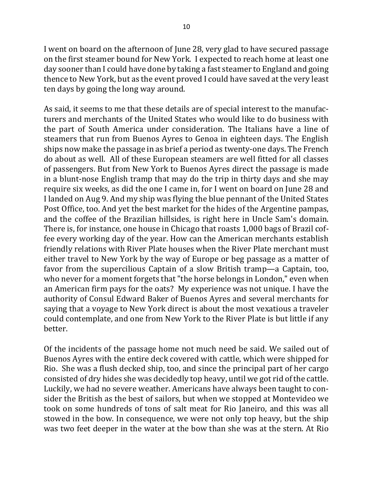I went on board on the afternoon of June 28, very glad to have secured passage on the first steamer bound for New York. I expected to reach home at least one day sooner than I could have done by taking a fast steamer to England and going thence to New York, but as the event proved I could have saved at the very least ten days by going the long way around.

As said, it seems to me that these details are of special interest to the manufacturers and merchants of the United States who would like to do business with the part of South America under consideration. The Italians have a line of steamers that run from Buenos Ayres to Genoa in eighteen days. The English ships now make the passage in as brief a period as twenty-one days. The French do about as well. All of these European steamers are well fitted for all classes of passengers. But from New York to Buenos Ayres direct the passage is made in a blunt-nose English tramp that may do the trip in thirty days and she may require six weeks, as did the one I came in, for I went on board on June 28 and I landed on Aug 9. And my ship was flying the blue pennant of the United States Post Office, too. And yet the best market for the hides of the Argentine pampas, and the coffee of the Brazilian hillsides, is right here in Uncle Sam's domain. There is, for instance, one house in Chicago that roasts 1,000 bags of Brazil coffee every working day of the year. How can the American merchants establish friendly relations with River Plate houses when the River Plate merchant must either travel to New York by the way of Europe or beg passage as a matter of favor from the supercilious Captain of a slow British tramp—a Captain, too, who never for a moment forgets that "the horse belongs in London," even when an American firm pays for the oats? My experience was not unique. I have the authority of Consul Edward Baker of Buenos Ayres and several merchants for saying that a voyage to New York direct is about the most vexatious a traveler could contemplate, and one from New York to the River Plate is but little if any better.

Of the incidents of the passage home not much need be said. We sailed out of Buenos Ayres with the entire deck covered with cattle, which were shipped for Rio. She was a flush decked ship, too, and since the principal part of her cargo consisted of dry hides she was decidedly top heavy, until we got rid of the cattle. Luckily, we had no severe weather. Americans have always been taught to consider the British as the best of sailors, but when we stopped at Montevideo we took on some hundreds of tons of salt meat for Rio Janeiro, and this was all stowed in the bow. In consequence, we were not only top heavy, but the ship was two feet deeper in the water at the bow than she was at the stern. At Rio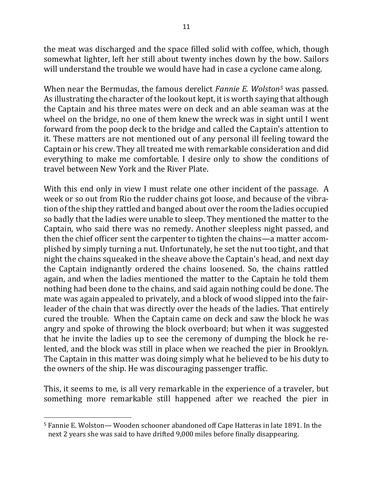the meat was discharged and the space filled solid with coffee, which, though somewhat lighter, left her still about twenty inches down by the bow. Sailors will understand the trouble we would have had in case a cyclone came along.

When near the Bermudas, the famous derelict *Fannie E. Wolston<sup>5</sup>* was passed. As illustrating the character of the lookout kept, it is worth saying that although the Captain and his three mates were on deck and an able seaman was at the wheel on the bridge, no one of them knew the wreck was in sight until I went forward from the poop deck to the bridge and called the Captain's attention to it. These matters are not mentioned out of any personal ill feeling toward the Captain or his crew. They all treated me with remarkable consideration and did everything to make me comfortable. I desire only to show the conditions of travel between New York and the River Plate.

With this end only in view I must relate one other incident of the passage. A week or so out from Rio the rudder chains got loose, and because of the vibration of the ship they rattled and banged about over the room the ladies occupied so badly that the ladies were unable to sleep. They mentioned the matter to the Captain, who said there was no remedy. Another sleepless night passed, and then the chief officer sent the carpenter to tighten the chains—a matter accomplished by simply turning a nut. Unfortunately, he set the nut too tight, and that night the chains squeaked in the sheave above the Captain's head, and next day the Captain indignantly ordered the chains loosened. So, the chains rattled again, and when the ladies mentioned the matter to the Captain he told them nothing had been done to the chains, and said again nothing could be done. The mate was again appealed to privately, and a block of wood slipped into the fairleader of the chain that was directly over the heads of the ladies. That entirely cured the trouble. When the Captain came on deck and saw the block he was angry and spoke of throwing the block overboard; but when it was suggested that he invite the ladies up to see the ceremony of dumping the block he relented, and the block was still in place when we reached the pier in Brooklyn. The Captain in this matter was doing simply what he believed to be his duty to the owners of the ship. He was discouraging passenger traffic.

This, it seems to me, is all very remarkable in the experience of a traveler, but something more remarkable still happened after we reached the pier in

 $\overline{a}$ 

<sup>&</sup>lt;sup>5</sup> Fannie E. Wolston— Wooden schooner abandoned off Cape Hatteras in late 1891. In the next 2 years she was said to have drifted 9,000 miles before finally disappearing.